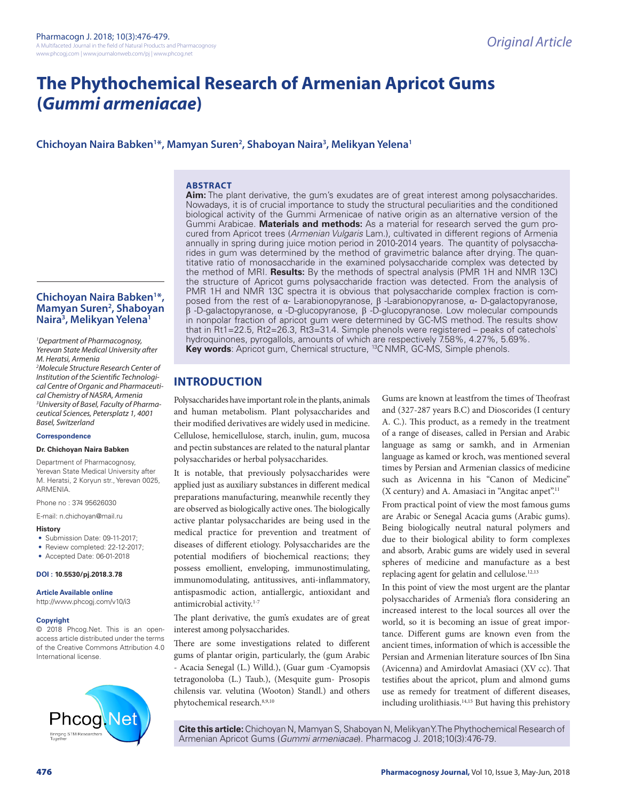# **The Phythochemical Research of Armenian Apricot Gums (***Gummi armeniacae***)**

# **Chichoyan Naira Babken1 \*, Mamyan Suren2 , Shaboyan Naira3 , Melikyan Yelena1**

#### **ABSTRACT**

**Aim:** The plant derivative, the gum's exudates are of great interest among polysaccharides. Nowadays, it is of crucial importance to study the structural peculiarities and the conditioned biological activity of the Gummi Armenicae of native origin as an alternative version of the Gummi Arabicae. **Materials and methods:** As a material for research served the gum procured from Apricot trees (*Armenian Vulgaris* Lam.), cultivated in different regions of Armenia annually in spring during juice motion period in 2010-2014 years. The quantity of polysaccharides in gum was determined by the method of gravimetric balance after drying. The quantitative ratio of monosaccharide in the examined polysaccharide complex was detected by the method of MRI. **Results:** By the methods of spectral analysis (PMR 1H and NMR 13C) the structure of Apricot gums polysaccharide fraction was detected. From the analysis of PMR 1H and NMR 13C spectra it is obvious that polysaccharide complex fraction is composed from the rest of  $\alpha$ - L-arabionopyranose, β -L-arabionopyranose,  $\alpha$ - D-galactopyranose, β -D-galactopyranose, α -D-glucopyranose, β -D-glucopyranose. Low molecular compounds in nonpolar fraction of apricot gum were determined by GC-MS method. The results show that in Rt1=22.5, Rt2=26.3, Rt3=31.4. Simple phenols were registered – peaks of catechols` hydroquinones, pyrogallols, amounts of which are respectively 7.58%, 4.27%, 5.69%. **Key words:** Apricot gum, Chemical structure, <sup>13</sup>C NMR, GC-MS, Simple phenols.

# **INTRODUCTION**

Polysaccharides have important role in the plants, animals and human metabolism. Plant polysaccharides and their modified derivatives are widely used in medicine. Cellulose, hemicellulose, starch, inulin, gum, mucosa and pectin substances are related to the natural plantar polysaccharides or herbal polysaccharides.

It is notable, that previously polysaccharides were applied just as auxiliary substances in different medical preparations manufacturing, meanwhile recently they are observed as biologically active ones. The biologically active plantar polysaccharides are being used in the medical practice for prevention and treatment of diseases of different etiology. Polysaccharides are the potential modifiers of biochemical reactions; they possess emollient, enveloping, immunostimulating, immunomodulating, antitussives, anti-inflammatory, antispasmodic action, antiallergic, antioxidant and antimicrobial activity.1-7

The plant derivative, the gum's exudates are of great interest among polysaccharides.

There are some investigations related to different gums of plantar origin, particularly, the (gum Arabic - Acacia Senegal (L.) Willd.), (Guar gum -Cyamopsis tetragonoloba (L.) Taub.), (Mesquite gum- Prosopis chilensis var. velutina (Wooton) Standl.) and others phytochemical research.8,9,10

Gums are known at leastfrom the times of Theofrast and (327-287 years B.C) and Dioscorides (I century A. C.). This product, as a remedy in the treatment of a range of diseases, called in Persian and Arabic language as samg or samkh, and in Armenian language as kamed or kroch, was mentioned several times by Persian and Armenian classics of medicine such as Avicenna in his "Canon of Medicine" (X century) and A. Amasiaci in "Angitac anpet".11

From practical point of view the most famous gums are Arabic or Senegal Acacia gums (Arabic gums). Being biologically neutral natural polymers and due to their biological ability to form complexes and absorb, Arabic gums are widely used in several spheres of medicine and manufacture as a best replacing agent for gelatin and cellulose.12,13

In this point of view the most urgent are the plantar polysaccharides of Armenia's flora considering an increased interest to the local sources all over the world, so it is becoming an issue of great importance. Different gums are known even from the ancient times, information of which is accessible the Persian and Armenian literature sources of Ibn Sina (Avicenna) and Amirdovlat Amasiaci (XV cc). That testifies about the apricot, plum and almond gums use as remedy for treatment of different diseases, including urolithiasis.14,15 But having this prehistory

**Cite this article:** Chichoyan N, Mamyan S, Shaboyan N, Melikyan Y. The Phythochemical Research of Armenian Apricot Gums (*Gummi armeniacae*). Pharmacog J. 2018;10(3):476-79.

# **Chichoyan Naira Babken1 \*, Mamyan Suren2 , Shaboyan Naira3 , Melikyan Yelena1**

*1 Department of Pharmacognosy, Yerevan State Medical University after M. Heratsi, Armenia* 

*2 Molecule Structure Research Center of Institution of the Scientific Technological Centre of Organic and Pharmaceutical Chemistry of NASRA, Armenia 3 University of Basel, Faculty of Pharmaceutical Sciences, Petersplatz 1, 4001 Basel, Switzerland*

#### **Correspondence**

#### **Dr. Chichoyan Naira Babken**

Department of Pharmacognosy, Yerevan State Medical University after M. Heratsi, 2 Koryun str., Yerevan 0025, ARMENIA.

Phone no : 374 95626030

E-mail: n.chichoyan@mail.ru

#### **History**

- Submission Date: 09-11-2017;
- Review completed: 22-12-2017;
- Accepted Date: 06-01-2018

#### **DOI : 10.5530/pj.2018.3.78**

**Article Available online** 

#### **Copyright**

© 2018 Phcog.Net. This is an openaccess article distributed under the terms of the Creative Commons Attribution 4.0 International license.

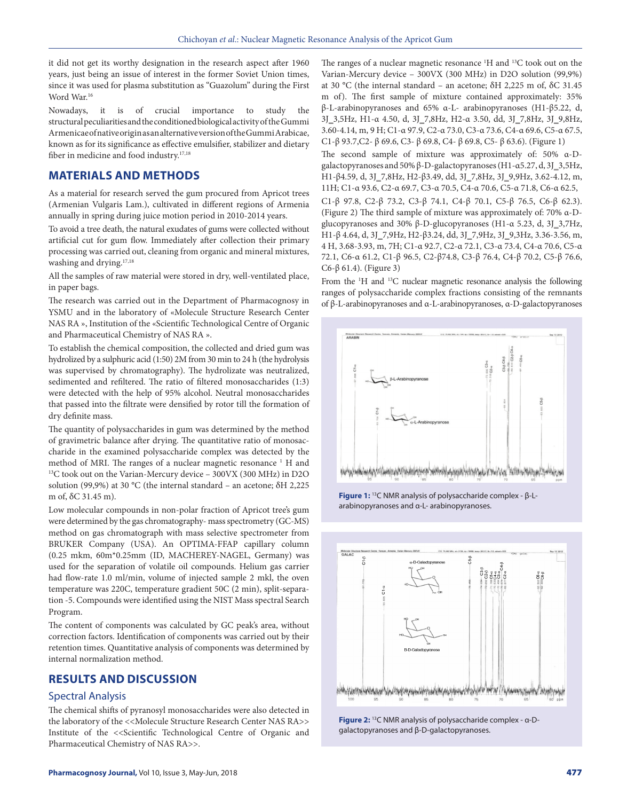it did not get its worthy designation in the research aspect after 1960 years, just being an issue of interest in the former Soviet Union times, since it was used for plasma substitution as "Guazolum" during the First Word War.<sup>16</sup>

Nowadays, it is of crucial importance to study the structural peculiarities and the conditioned biological activity of the Gummi Armenicae of native origin as an alternative version of the Gummi Arabicae, known as for its significance as effective emulsifier, stabilizer and dietary fiber in medicine and food industry.<sup>17,18</sup>

## **MATERIALS AND METHODS**

As a material for research served the gum procured from Apricot trees (Armenian Vulgaris Lam.), cultivated in different regions of Armenia annually in spring during juice motion period in 2010-2014 years.

To avoid a tree death, the natural exudates of gums were collected without artificial cut for gum flow. Immediately after collection their primary processing was carried out, cleaning from organic and mineral mixtures, washing and drying.<sup>17,18</sup>

All the samples of raw material were stored in dry, well-ventilated place, in paper bags.

The research was carried out in the Department of Pharmacognosy in YSMU and in the laboratory of «Molecule Structure Research Center NAS RA », Institution of the «Scientific Technological Centre of Organic and Pharmaceutical Chemistry of NAS RA ».

To establish the chemical composition, the collected and dried gum was hydrolized by a sulphuric acid (1:50) 2M from 30 min to 24 h (the hydrolysis was supervised by chromatography). The hydrolizate was neutralized, sedimented and refiltered. The ratio of filtered monosaccharides (1:3) were detected with the help of 95% alcohol. Neutral monosaccharides that passed into the filtrate were densified by rotor till the formation of dry definite mass.

The quantity of polysaccharides in gum was determined by the method of gravimetric balance after drying. The quantitative ratio of monosaccharide in the examined polysaccharide complex was detected by the method of MRI. The ranges of a nuclear magnetic resonance <sup>1</sup> H and  $^{13}$ C took out on the Varian-Mercury device – 300VX (300 MHz) in D2O solution (99,9%) at 30 °C (the internal standard – an acetone; δH 2,225 m of, δC 31.45 m).

Low molecular compounds in non-polar fraction of Apricot tree's gum were determined by the gas chromatography- mass spectrometry (GC-MS) method on gas chromatograph with mass selective spectrometer from BRUKER Company (USA). An OPTIMA-FFAP capillary column (0.25 mkm, 60m\*0.25mm (ID, MACHEREY-NAGEL, Germany) was used for the separation of volatile oil compounds. Helium gas carrier had flow-rate 1.0 ml/min, volume of injected sample 2 mkl, the oven temperature was 220C, temperature gradient 50C (2 min), split-separation -5. Compounds were identified using the NIST Mass spectral Search Program.

The content of components was calculated by GC peak's area, without correction factors. Identification of components was carried out by their retention times. Quantitative analysis of components was determined by internal normalization method.

# **RESULTS AND DISCUSSION**

#### Spectral Analysis

The chemical shifts of pyranosyl monosaccharides were also detected in the laboratory of the <<Molecule Structure Research Center NAS RA>> Institute of the <<Scientific Technological Centre of Organic and Pharmaceutical Chemistry of NAS RA>>.

The ranges of a nuclear magnetic resonance <sup>1</sup>H and <sup>13</sup>C took out on the Varian-Mercury device – 300VX (300 MHz) in D2O solution (99,9%) at 30 °C (the internal standard – an acetone; δH 2,225 m of, δC 31.45 m of). The first sample of mixture contained approximately: 35% β-L-arabinopyranoses and 65% α-L- arabinopyranoses (H1-β5.22, d, 3J\_3,5Hz, H1-α 4.50, d, 3J\_7,8Hz, H2-α 3.50, dd, 3J\_7,8Hz, 3J\_9,8Hz, 3.60-4.14, m, 9 H; C1-α 97.9, C2-α 73.0, C3-α 73.6, C4-α 69.6, C5-α 67.5, C1-β 93.7,C2- β 69.6, C3- β 69.8, C4- β 69.8, C5- β 63.6). (Figure 1)

The second sample of mixture was approximately of: 50% α-Dgalactopyranoses and 50% β-D-galactopyranoses (H1-α5.27, d, 3J\_3,5Hz, H1-β4.59, d, 3J\_7,8Hz, H2-β3.49, dd, 3J\_7,8Hz, 3J\_9,9Hz, 3.62-4.12, m, 11H; C1-α 93.6, C2-α 69.7, C3-α 70.5, C4-α 70.6, C5-α 71.8, C6-α 62.5, C1-β 97.8, C2-β 73.2, C3-β 74.1, C4-β 70.1, C5-β 76.5, C6-β 62.3). (Figure 2) The third sample of mixture was approximately of: 70% α-Dglucopyranoses and 30% β-D-glucopyranoses (H1-α 5.23, d, 3J\_3,7Hz, H1-β 4.64, d, 3J\_7,9Hz, H2-β3.24, dd, 3J\_7,9Hz, 3J\_9,3Hz, 3.36-3.56, m, 4 H, 3.68-3.93, m, 7H; C1-α 92.7, C2-α 72.1, C3-α 73.4, C4-α 70.6, C5-α 72.1, C6-α 61.2, C1-β 96.5, C2-β74.8, C3-β 76.4, C4-β 70.2, C5-β 76.6, C6-β 61.4). (Figure 3)

From the <sup>1</sup>H and <sup>13</sup>C nuclear magnetic resonance analysis the following ranges of polysaccharide complex fractions consisting of the remnants of β-L-arabinopyranoses and α-L-arabinopyranoses, α-D-galactopyranoses



**Figure 1:** 13C NMR analysis of polysaccharide complex - β-Larabinopyranoses and α-L- arabinopyranoses.



**Figure 2:** 13C NMR analysis of polysaccharide complex - α-Dgalactopyranoses and β-D-galactopyranoses.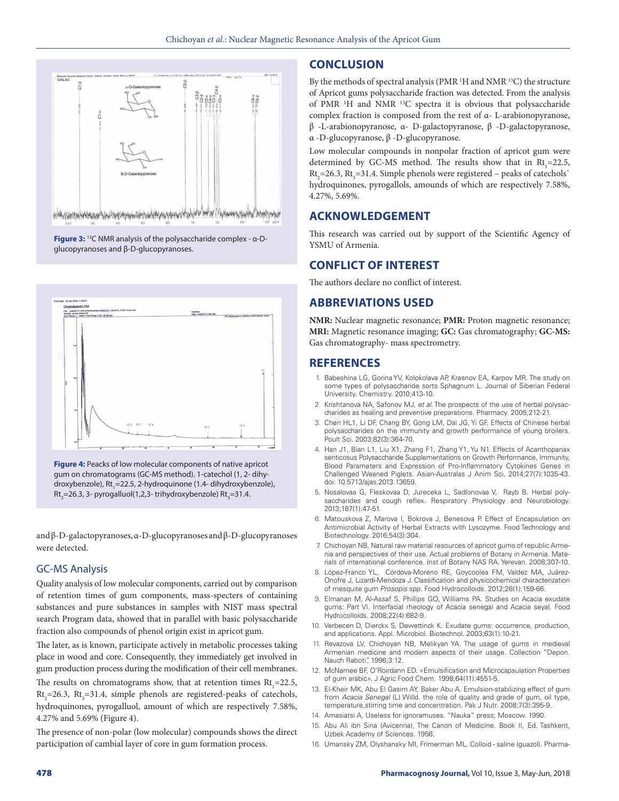

**Figure 3:** 13C NMR analysis of the polysaccharide complex - α-Dglucopyranoses and β-D-glucopyranoses.



**Figure 4:** Peacks of low molecular components of native apricot gum on chromatograms (GC-MS method). 1-catechol (1, 2- dihydroxybenzole), Rt<sub>1</sub>=22.5, 2-hydroquinone (1.4- dihydroxybenzole),  $\mathsf{Rt}_{\mathsf{2}}\!\!=\!\!2$ 6.3, 3- pyrogalluol(1,2,3- trihydroxybenzole)  $\mathsf{Rt}_{\mathsf{3}}\!\!=\!\!31.4$ .

and β-D-galactopyranoses, α-D-glucopyranoses and β-D-glucopyranoses were detected.

# GC-MS Analysis

Quality analysis of low molecular components, carried out by comparison of retention times of gum components, mass-specters of containing substances and pure substances in samples with NIST mass spectral search Program data, showed that in parallel with basic polysaccharide fraction also compounds of phenol origin exist in apricot gum.

The later, as is known, participate actively in metabolic processes taking place in wood and core. Consequently, they immediately get involved in gum production process during the modification of their cell membranes.

The results on chromatograms show, that at retention times  $Rt_1 = 22.5$ ,  $Rt<sub>2</sub>=26.3$ ,  $Rt<sub>3</sub>=31.4$ , simple phenols are registered-peaks of catechols, hydroquinones, pyrogalluol, amount of which are respectively 7.58%, 4.27% and 5.69% (Figure 4).

The presence of non-polar (low molecular) compounds shows the direct participation of cambial layer of core in gum formation process.

## **CONCLUSION**

By the methods of spectral analysis (PMR <sup>1</sup>H and NMR <sup>13</sup>C) the structure of Apricot gums polysaccharide fraction was detected. From the analysis of PMR 1 Н and NMR 13C spectra it is obvious that polysaccharide complex fraction is composed from the rest of α- L-arabionopyranose, β -L-arabionopyranose, α- D-galactopyranose, β -D-galactopyranose, α -D-glucopyranose, β -D-glucopyranose.

Low molecular compounds in nonpolar fraction of apricot gum were determined by GC-MS method. The results show that in  $Rt_1 = 22.5$ ,  $\text{Rt}_{2}$ =26.3,  $\text{Rt}_{3}$ =31.4. Simple phenols were registered – peaks of catechols` hydroquinones, pyrogallols, amounds of which are respectively 7.58%, 4.27%, 5.69%.

# **ACKNOWLEDGEMENT**

This research was carried out by support of the Scientific Agency of YSMU of Armenia.

## **CONFLICT OF INTEREST**

The authors declare no conflict of interest.

#### **ABBREVIATIONS USED**

**NMR:** Nuclear magnetic resonance; **PMR:** Proton magnetic resonance; **MRI:** Magnetic resonance imaging; **GC:** Gas chromatography; **GC-MS:**  Gas chromatography- mass spectrometry.

#### **REFERENCES**

- 1. Babeshina LG, Gorina YV, Kolokolava AP, Krasnov EA, Karpov MR. The study on some types of polysaccharide sorts Sphagnum L. Journal of Siberian Federal University. Chemistry. 2010;413-10.
- 2. Krishtanova NA, Safonov MJ, *et al*. The prospects of the use of herbal polysaccharides as healing and preventive preparations. Pharmacy. 2005;212-21.
- 3. Chen HL1, Li DF, Chang BY, Gong LM, Dai JG, Yi GF. Effects of Chinese herbal polysaccharides on the immunity and growth performance of young broilers. Poult Sci. 2003;82(3):364-70.
- 4. Han J1, Bian L1, Liu X1, Zhang F1, Zhang Y1, Yu N1. Effects of Acanthopanax senticosus Polysaccharide Supplementations on Growth Performance, Immunity, Blood Parameters and Expression of Pro-Inflammatory Cytokines Genes in Challenged Weaned Piglets. Asian-Australas J Anim Sci. 2014;27(7):1035-43. doi: 10.5713/ajas.2013.13659.
- 5. Nosalovaa G, Fleskovaa D, Jureceka L, Sadlonovaa V, Rayb B. Herbal polysaccharides and cough reflex. Respiratory Physiology and Neurobiology. 2013;187(1):47-51.
- 6. Matouskova Z, Marova I, Bokrova J, Benesova P. Effect of Encapsulation on Antimicrobial Activity of Herbal Extracts with Lysozyme. Food Technology and Biotechnology. 2016;54(3):304.
- 7. Chichoyan NB, Natural raw material resources of apricot gums of republic Armenia and perspectives of their use. Actual problems of Botany in Armenia. Materials of international conference. Inst of Botany NAS RA. Yerevan. 2008;307-10.
- 8. López-Franco YL, Córdova-Moreno RE, Goycoolea FM, Valdez MA, Juárez-Onofre J, Lizardi-Mendoza J. Classification and physicochemical characterization of mesquite gum *Prosopis* spp. Food Hydrocolloids. 2012;26(1):159-66.
- 9. Elmanan M, Al-Assaf S, Phillips GO, Williams PA. Studies on Acacia exudate gums: Part VI. Interfacial rheology of Acacia senegal and Acacia seyal. Food Hydrocolloids. 2008;22(4):682-9.
- 10. Verbecen D, Dierckx S, Dewettinck K. Exudate gums: occurrence, production, and applications. Appl. Microbiol. Biotechnol. 2003;63(1):10-21.
- 11. Revazova LV, Chichoyan NB, Melikyan YA. The usage of gums in medieval Armenian medicine and modern aspects of their usage. Collection "Depon. Nauch Raboti". 1996;3:12.
- 12. McNamee BF, O'Roirdann ED. «Emulsification and Microcapsulation Properties of gum arabic». J Agric Food Chem. 1998;64(11):4551-5.
- 13. El-Kheir MK, Abu El Gasim AY, Baker Abu A. Emulsion-stabilizing effect of gum from *Acacia Senegal* (L) Willd. the role of quality and grade of gum, oil type, temperature,stirring time and concentration. Pak J Nutr. 2008;7(3):395-9.
- 14. Amasiatsi A, Useless for ignoramuses. "Nauka" press; Moscow. 1990.
- 15. Abu Ali ibn Sina (Avicenna), The Canon of Medicine. Book II, Ed. Tashkent, Uzbek Academy of Sciences. 1956.
- 16. Umansky ZM, Olyshansky MI, Frimerman ML. Colloid saline (guazol). Pharma-